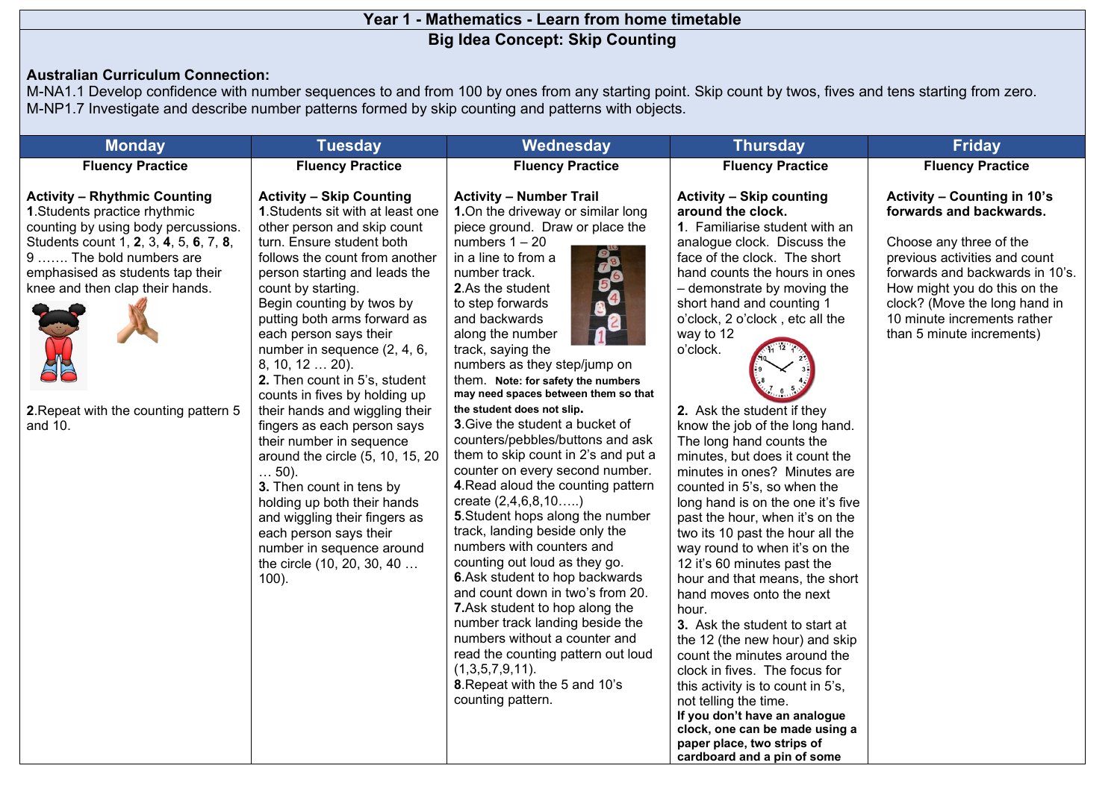## **Year 1 - Mathematics - Learn from home timetable Big Idea Concept: Skip Counting**

## **Australian Curriculum Connection:**

M-NA1.1 Develop confidence with number sequences to and from 100 by ones from any starting point. Skip count by twos, fives and tens starting from zero. M-NP1.7 Investigate and describe number patterns formed by skip counting and patterns with objects.

| <b>Monday</b>                                                                                                                                                                                                                                                                                               | <b>Tuesday</b>                                                                                                                                                                                                                                                                                                                                                                                                                                                                                                                                                                                                                                                                                                                                                                       | Wednesday                                                                                                                                                                                                                                                                                                                                                                                                                                                                                                                                                                                                                                                                                                                                                                                                                                                                                                                                                                                                                                                       | <b>Thursday</b>                                                                                                                                                                                                                                                                                                                                                                                                                                                                                                                                                                                                                                                                                                                                                                                                                                                                                                                                                                                                                                                                                   | <b>Friday</b>                                                                                                                                                                                                                                                                      |  |  |
|-------------------------------------------------------------------------------------------------------------------------------------------------------------------------------------------------------------------------------------------------------------------------------------------------------------|--------------------------------------------------------------------------------------------------------------------------------------------------------------------------------------------------------------------------------------------------------------------------------------------------------------------------------------------------------------------------------------------------------------------------------------------------------------------------------------------------------------------------------------------------------------------------------------------------------------------------------------------------------------------------------------------------------------------------------------------------------------------------------------|-----------------------------------------------------------------------------------------------------------------------------------------------------------------------------------------------------------------------------------------------------------------------------------------------------------------------------------------------------------------------------------------------------------------------------------------------------------------------------------------------------------------------------------------------------------------------------------------------------------------------------------------------------------------------------------------------------------------------------------------------------------------------------------------------------------------------------------------------------------------------------------------------------------------------------------------------------------------------------------------------------------------------------------------------------------------|---------------------------------------------------------------------------------------------------------------------------------------------------------------------------------------------------------------------------------------------------------------------------------------------------------------------------------------------------------------------------------------------------------------------------------------------------------------------------------------------------------------------------------------------------------------------------------------------------------------------------------------------------------------------------------------------------------------------------------------------------------------------------------------------------------------------------------------------------------------------------------------------------------------------------------------------------------------------------------------------------------------------------------------------------------------------------------------------------|------------------------------------------------------------------------------------------------------------------------------------------------------------------------------------------------------------------------------------------------------------------------------------|--|--|
| <b>Fluency Practice</b>                                                                                                                                                                                                                                                                                     | <b>Fluency Practice</b>                                                                                                                                                                                                                                                                                                                                                                                                                                                                                                                                                                                                                                                                                                                                                              | <b>Fluency Practice</b>                                                                                                                                                                                                                                                                                                                                                                                                                                                                                                                                                                                                                                                                                                                                                                                                                                                                                                                                                                                                                                         | <b>Fluency Practice</b>                                                                                                                                                                                                                                                                                                                                                                                                                                                                                                                                                                                                                                                                                                                                                                                                                                                                                                                                                                                                                                                                           | <b>Fluency Practice</b>                                                                                                                                                                                                                                                            |  |  |
| <b>Activity - Rhythmic Counting</b><br>1. Students practice rhythmic<br>counting by using body percussions.<br>Students count 1, 2, 3, 4, 5, 6, 7, 8,<br>9  The bold numbers are<br>emphasised as students tap their<br>knee and then clap their hands.<br>2. Repeat with the counting pattern 5<br>and 10. | <b>Activity - Skip Counting</b><br>1. Students sit with at least one<br>other person and skip count<br>turn. Ensure student both<br>follows the count from another<br>person starting and leads the<br>count by starting.<br>Begin counting by twos by<br>putting both arms forward as<br>each person says their<br>number in sequence (2, 4, 6,<br>8, 10, 12  20).<br>2. Then count in 5's, student<br>counts in fives by holding up<br>their hands and wiggling their<br>fingers as each person says<br>their number in sequence<br>around the circle (5, 10, 15, 20<br>$\ldots$ 50).<br>3. Then count in tens by<br>holding up both their hands<br>and wiggling their fingers as<br>each person says their<br>number in sequence around<br>the circle (10, 20, 30, 40<br>$100$ ). | <b>Activity - Number Trail</b><br>1.On the driveway or similar long<br>piece ground. Draw or place the<br>numbers $1 - 20$<br>in a line to from a<br>number track.<br>2.As the student<br>to step forwards<br>and backwards<br>along the number<br>track, saying the<br>numbers as they step/jump on<br>them. Note: for safety the numbers<br>may need spaces between them so that<br>the student does not slip.<br>3. Give the student a bucket of<br>counters/pebbles/buttons and ask<br>them to skip count in 2's and put a<br>counter on every second number.<br>4. Read aloud the counting pattern<br>create $(2,4,6,8,10)$<br>5. Student hops along the number<br>track, landing beside only the<br>numbers with counters and<br>counting out loud as they go.<br>6.Ask student to hop backwards<br>and count down in two's from 20.<br>7.Ask student to hop along the<br>number track landing beside the<br>numbers without a counter and<br>read the counting pattern out loud<br>(1,3,5,7,9,11).<br>8. Repeat with the 5 and 10's<br>counting pattern. | <b>Activity - Skip counting</b><br>around the clock.<br>1. Familiarise student with an<br>analogue clock. Discuss the<br>face of the clock. The short<br>hand counts the hours in ones<br>- demonstrate by moving the<br>short hand and counting 1<br>o'clock, 2 o'clock, etc all the<br>way to 12<br>o'clock.<br>2. Ask the student if they<br>know the job of the long hand.<br>The long hand counts the<br>minutes, but does it count the<br>minutes in ones? Minutes are<br>counted in 5's, so when the<br>long hand is on the one it's five<br>past the hour, when it's on the<br>two its 10 past the hour all the<br>way round to when it's on the<br>12 it's 60 minutes past the<br>hour and that means, the short<br>hand moves onto the next<br>hour.<br>3. Ask the student to start at<br>the 12 (the new hour) and skip<br>count the minutes around the<br>clock in fives. The focus for<br>this activity is to count in 5's,<br>not telling the time.<br>If you don't have an analogue<br>clock, one can be made using a<br>paper place, two strips of<br>cardboard and a pin of some | Activity - Counting in 10's<br>forwards and backwards.<br>Choose any three of the<br>previous activities and count<br>forwards and backwards in 10's.<br>How might you do this on the<br>clock? (Move the long hand in<br>10 minute increments rather<br>than 5 minute increments) |  |  |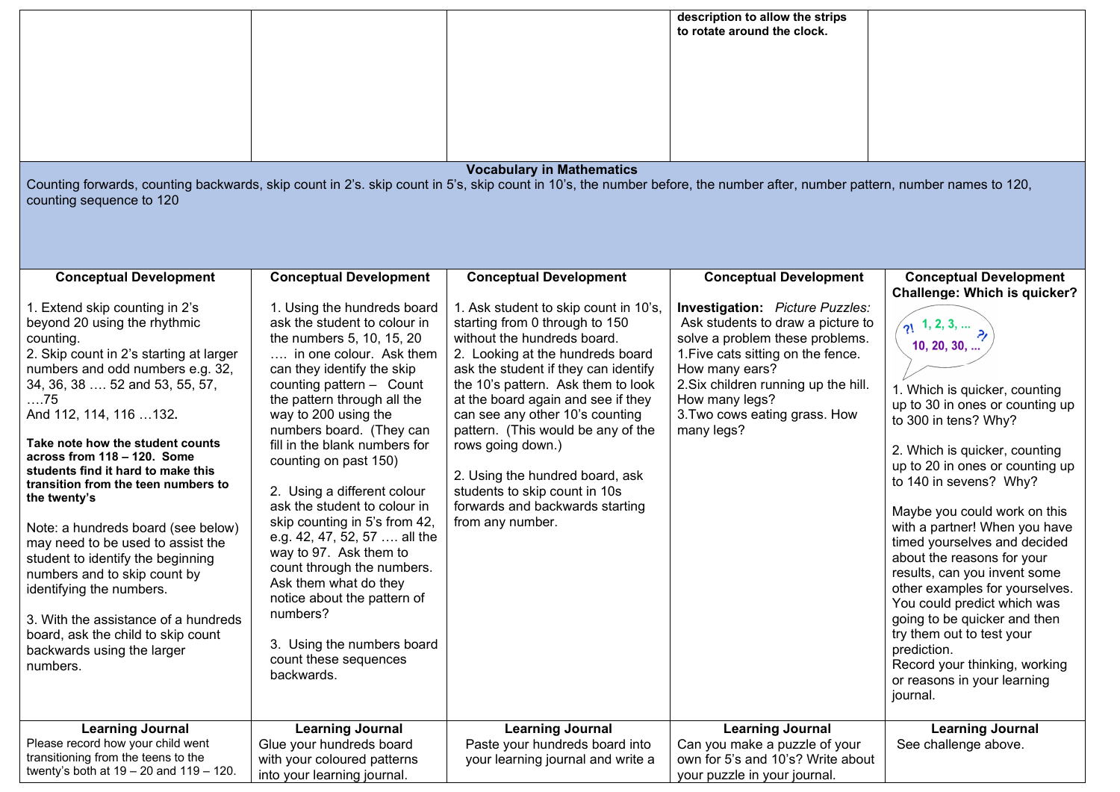| Counting forwards, counting backwards, skip count in 2's. skip count in 5's, skip count in 10's, the number before, the number after, number pattern, number names to 120,<br>counting sequence to 120                                                                                                                                                                                                                                                                                                                                                                                                                                                                                                                             |                                                                                                                                                                                                                                                                                                                                                                                                                                                                                                                                                                                                                                                                                              | <b>Vocabulary in Mathematics</b>                                                                                                                                                                                                                                                                                                                                                                                                                                                                                         | description to allow the strips<br>to rotate around the clock.                                                                                                                                                                                                                                            |                                                                                                                                                                                                                                                                                                                                                                                                                                                                                                                                                                                                                                                                                             |
|------------------------------------------------------------------------------------------------------------------------------------------------------------------------------------------------------------------------------------------------------------------------------------------------------------------------------------------------------------------------------------------------------------------------------------------------------------------------------------------------------------------------------------------------------------------------------------------------------------------------------------------------------------------------------------------------------------------------------------|----------------------------------------------------------------------------------------------------------------------------------------------------------------------------------------------------------------------------------------------------------------------------------------------------------------------------------------------------------------------------------------------------------------------------------------------------------------------------------------------------------------------------------------------------------------------------------------------------------------------------------------------------------------------------------------------|--------------------------------------------------------------------------------------------------------------------------------------------------------------------------------------------------------------------------------------------------------------------------------------------------------------------------------------------------------------------------------------------------------------------------------------------------------------------------------------------------------------------------|-----------------------------------------------------------------------------------------------------------------------------------------------------------------------------------------------------------------------------------------------------------------------------------------------------------|---------------------------------------------------------------------------------------------------------------------------------------------------------------------------------------------------------------------------------------------------------------------------------------------------------------------------------------------------------------------------------------------------------------------------------------------------------------------------------------------------------------------------------------------------------------------------------------------------------------------------------------------------------------------------------------------|
| <b>Conceptual Development</b><br>1. Extend skip counting in 2's<br>beyond 20 using the rhythmic<br>counting.<br>2. Skip count in 2's starting at larger<br>numbers and odd numbers e.g. 32,<br>34, 36, 38  52 and 53, 55, 57,<br>75<br>And 112, 114, 116  132.<br>Take note how the student counts<br>across from 118 - 120. Some<br>students find it hard to make this<br>transition from the teen numbers to<br>the twenty's<br>Note: a hundreds board (see below)<br>may need to be used to assist the<br>student to identify the beginning<br>numbers and to skip count by<br>identifying the numbers.<br>3. With the assistance of a hundreds<br>board, ask the child to skip count<br>backwards using the larger<br>numbers. | <b>Conceptual Development</b><br>1. Using the hundreds board<br>ask the student to colour in<br>the numbers 5, 10, 15, 20<br>in one colour. Ask them<br>can they identify the skip<br>counting pattern - Count<br>the pattern through all the<br>way to 200 using the<br>numbers board. (They can<br>fill in the blank numbers for<br>counting on past 150)<br>2. Using a different colour<br>ask the student to colour in<br>skip counting in 5's from 42,<br>e.g. 42, 47, 52, 57  all the<br>way to 97. Ask them to<br>count through the numbers.<br>Ask them what do they<br>notice about the pattern of<br>numbers?<br>3. Using the numbers board<br>count these sequences<br>backwards. | <b>Conceptual Development</b><br>1. Ask student to skip count in 10's,<br>starting from 0 through to 150<br>without the hundreds board.<br>2. Looking at the hundreds board<br>ask the student if they can identify<br>the 10's pattern. Ask them to look<br>at the board again and see if they<br>can see any other 10's counting<br>pattern. (This would be any of the<br>rows going down.)<br>2. Using the hundred board, ask<br>students to skip count in 10s<br>forwards and backwards starting<br>from any number. | <b>Conceptual Development</b><br>Investigation: Picture Puzzles:<br>Ask students to draw a picture to<br>solve a problem these problems.<br>1. Five cats sitting on the fence.<br>How many ears?<br>2. Six children running up the hill.<br>How many legs?<br>3. Two cows eating grass. How<br>many legs? | <b>Conceptual Development</b><br><b>Challenge: Which is quicker?</b><br>$\sqrt{1, 2, 3, }$<br>10, 20, 30,<br>1. Which is quicker, counting<br>up to 30 in ones or counting up<br>to 300 in tens? Why?<br>2. Which is quicker, counting<br>up to 20 in ones or counting up<br>to 140 in sevens? Why?<br>Maybe you could work on this<br>with a partner! When you have<br>timed yourselves and decided<br>about the reasons for your<br>results, can you invent some<br>other examples for yourselves.<br>You could predict which was<br>going to be quicker and then<br>try them out to test your<br>prediction.<br>Record your thinking, working<br>or reasons in your learning<br>journal. |
| <b>Learning Journal</b><br>Please record how your child went<br>transitioning from the teens to the<br>twenty's both at $19 - 20$ and $119 - 120$ .                                                                                                                                                                                                                                                                                                                                                                                                                                                                                                                                                                                | <b>Learning Journal</b><br>Glue your hundreds board<br>with your coloured patterns<br>into your learning journal.                                                                                                                                                                                                                                                                                                                                                                                                                                                                                                                                                                            | <b>Learning Journal</b><br>Paste your hundreds board into<br>your learning journal and write a                                                                                                                                                                                                                                                                                                                                                                                                                           | <b>Learning Journal</b><br>Can you make a puzzle of your<br>own for 5's and 10's? Write about<br>your puzzle in your journal.                                                                                                                                                                             | <b>Learning Journal</b><br>See challenge above.                                                                                                                                                                                                                                                                                                                                                                                                                                                                                                                                                                                                                                             |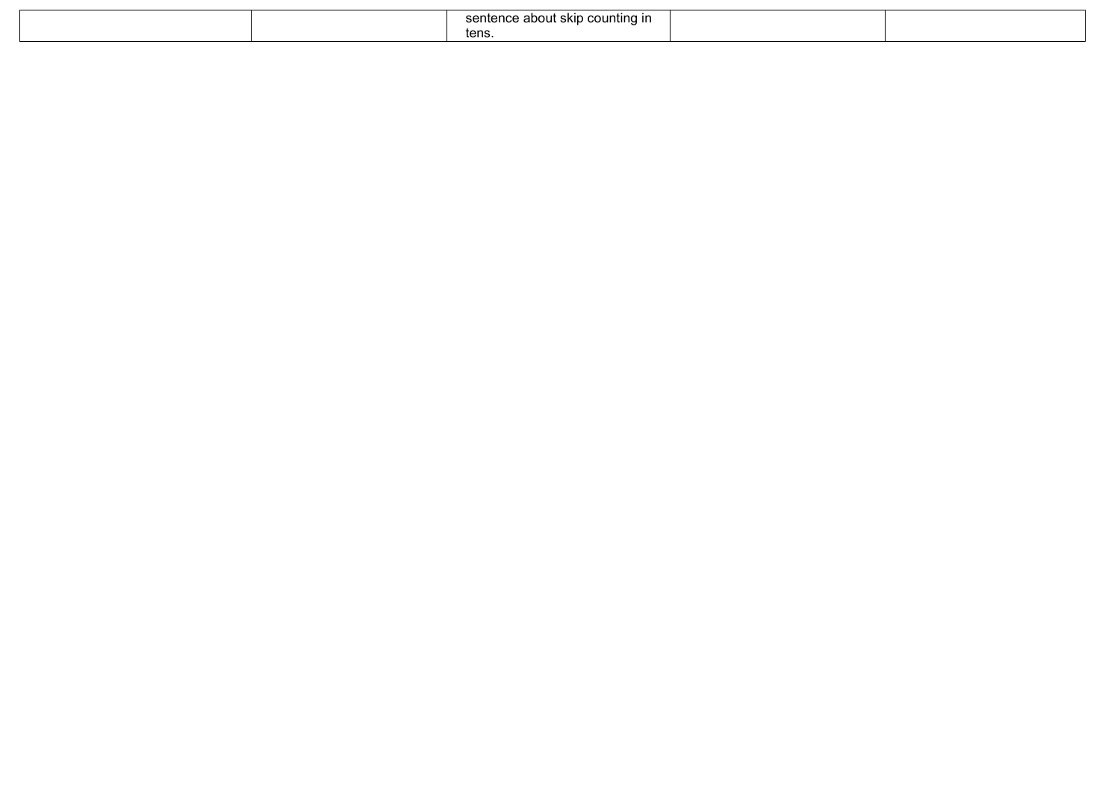|  | counting<br>$\sim$ $\sim$ $\sim$<br>about skip<br>ı ır<br>. הר<br>una<br>. .<br>א ונ<br><br>the contract of the contract of the contract of the contract of the contract of the contract of the contract of |  |
|--|-------------------------------------------------------------------------------------------------------------------------------------------------------------------------------------------------------------|--|
|  | tens.                                                                                                                                                                                                       |  |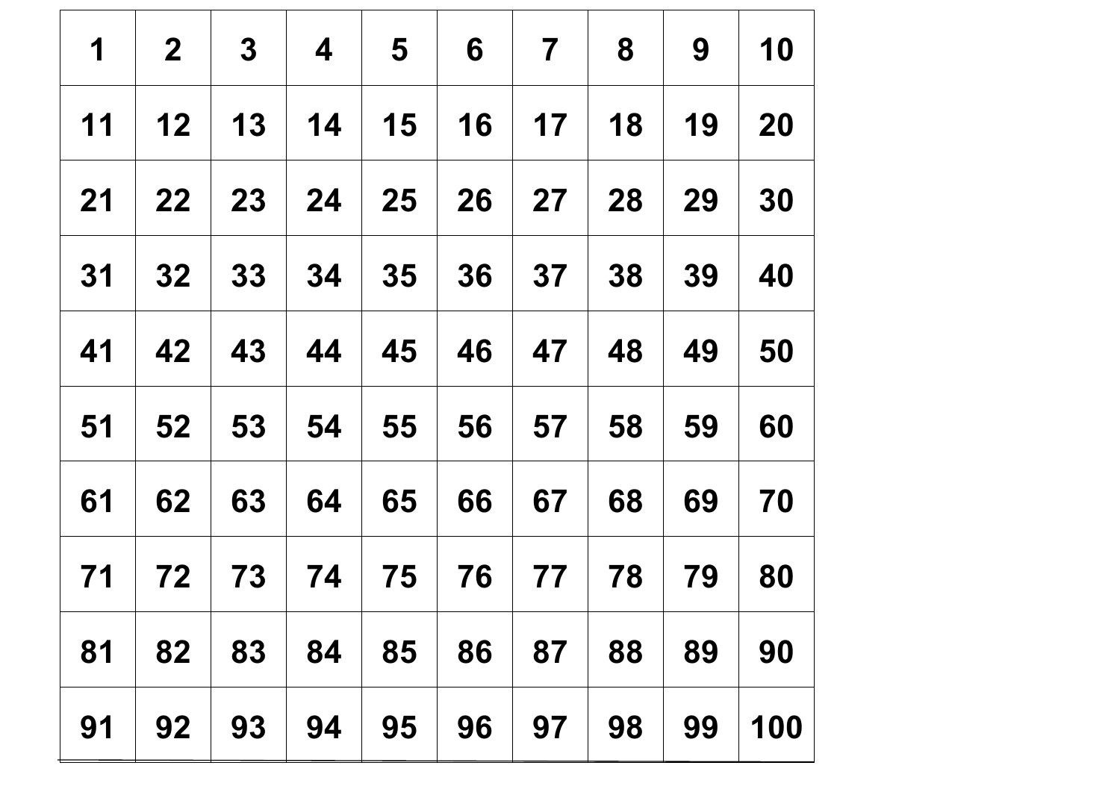| 1  | $\mathbf{2}$ | $\mathbf{3}$ | $\boldsymbol{4}$ | $5\overline{5}$ | 6  | $\overline{\mathbf{7}}$ | 8  | 9  | 10  |
|----|--------------|--------------|------------------|-----------------|----|-------------------------|----|----|-----|
| 11 | 12           | 13           | 14               | 15              | 16 | 17                      | 18 | 19 | 20  |
| 21 | 22           | 23           | 24               | 25              | 26 | <b>27</b>               | 28 | 29 | 30  |
| 31 | 32           | 33           | 34               | 35              | 36 | 37 <sup>1</sup>         | 38 | 39 | 40  |
| 41 | 42           | 43           | 44               | 45              | 46 | 47                      | 48 | 49 | 50  |
| 51 | 52           | 53           | 54               | 55              | 56 | 57                      | 58 | 59 | 60  |
| 61 | 62           | 63           | 64               | 65              | 66 | 67                      | 68 | 69 | 70  |
| 71 | 72           | 73           | 74               | 75              | 76 | 77                      | 78 | 79 | 80  |
| 81 | 82           | 83           | 84               | 85              | 86 | 87                      | 88 | 89 | 90  |
| 91 | 92           | 93           | 94               | 95              | 96 | 97                      | 98 | 99 | 100 |